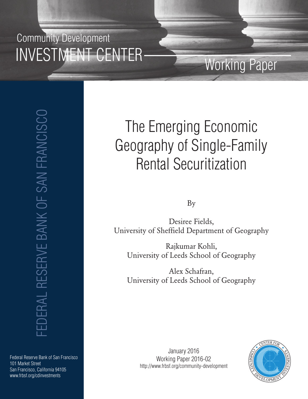## Community Development INVESTMENT CENTER

FEDERAL RESERVE BANK OF SAN FRANCISCO **EDERAL RESERVE BANK OF SAN FRANCISCO** 

#### Federal Reserve Bank of San Francisco 101 Market Street San Francisco, California 94105 www.frbsf.org/cdinvestments

# The Emerging Economic Geography of Single-Family Rental Securitization

Working Paper

By

Desiree Fields, University of Sheffield Department of Geography

Rajkumar Kohli, University of Leeds School of Geography

Alex Schafran, University of Leeds School of Geography

January 2016 Working Paper 2016-02 http://www.frbsf.org/community-development

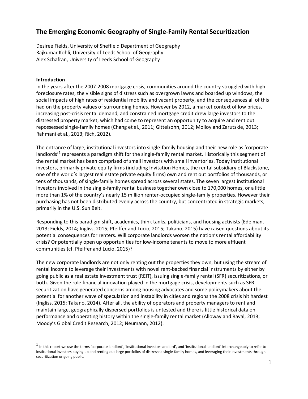### **The Emerging Economic Geography of Single-Family Rental Securitization**

Desiree Fields, University of Sheffield Department of Geography Rajkumar Kohli, University of Leeds School of Geography Alex Schafran, University of Leeds School of Geography

#### **Introduction**

In the years after the 2007-2008 mortgage crisis, communities around the country struggled with high foreclosure rates, the visible signs of distress such as overgrown lawns and boarded up windows, the social impacts of high rates of residential mobility and vacant property, and the consequences all of this had on the property values of surrounding homes. However by 2012, a market context of low prices, increasing post-crisis rental demand, and constrained mortgage credit drew large investors to the distressed property market, which had come to represent an opportunity to acquire and rent out repossessed single-family homes (Chang et al., 2011; Gittelsohn, 2012; Molloy and Zarutskie, 2013; Rahmani et al., 2013; Rich, 2012).

The entrance of large, institutional investors into single-family housing and their new role as 'corporate landlords'<sup>[1](#page-1-0)</sup> represents a paradigm shift for the single-family rental market. Historically this segment of the rental market has been comprised of small investors with small inventories. Today institutional investors, primarily private equity firms (including Invitation Homes, the rental subsidiary of Blackstone, one of the world's largest real estate private equity firms) own and rent out portfolios of thousands, or tens of thousands, of single-family homes spread across several states. The seven largest institutional investors involved in the single-family rental business together own close to 170,000 homes, or a little more than 1% of the country's nearly 15 million renter-occupied single-family properties. However their purchasing has not been distributed evenly across the country, but concentrated in strategic markets, primarily in the U.S. Sun Belt.

Responding to this paradigm shift, academics, think tanks, politicians, and housing activists (Edelman, 2013; Fields, 2014; Ingliss, 2015; Pfeiffer and Lucio, 2015; Takano, 2015) have raised questions about its potential consequences for renters*.* Will corporate landlords worsen the nation's rental affordability crisis? Or potentially open up opportunities for low-income tenants to move to more affluent communities (cf. Pfeiffer and Lucio, 2015)?

The new corporate landlords are not only renting out the properties they own, but using the stream of rental income to leverage their investments with novel rent-backed financial instruments by either by going public as a real estate investment trust (REIT), issuing single-family rental (SFR) securitizations, or both. Given the role financial innovation played in the mortgage crisis, developments such as SFR securitization have generated concerns among housing advocates and some policymakers about the potential for another wave of speculation and instability in cities and regions the 2008 crisis hit hardest (Ingliss, 2015; Takano, 2014). After all, the ability of operators and property managers to rent and maintain large, geographically dispersed portfolios is untested and there is little historical data on performance and operating history within the single-family rental market (Alloway and Raval, 2013; Moody's Global Credit Research, 2012; Neumann, 2012).

<span id="page-1-0"></span> $1$  In this report we use the terms 'corporate landlord', 'institutional investor-landlord', and 'institutional landlord' interchangeably to refer to institutional investors buying up and renting out large portfolios of distressed single-family homes, and leveraging their investments through securitization or going public.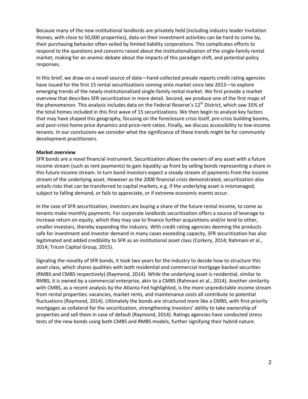Because many of the new institutional landlords are privately held (including industry leader Invitation Homes, with close to 50,000 properties), data on their investment activities can be hard to come by, their purchasing behavior often veiled by limited liability corporations. This complicates efforts to respond to the questions and concerns raised about the institutionalization of the single-family rental market, making for an anemic debate about the impacts of this paradigm shift, and potential policy responses.

In this brief, we draw on a novel source of data—hand-collected presale reports credit rating agencies have issued for the first 15 rental securitizations coming onto market since late 2013—to explore emerging trends of the newly-institutionalized single-family rental market. We first provide a market overview that describes SFR securitization in more detail. Second, we produce one of the first maps of the phenomenon. This analysis includes data on the Federal Reserve's 12<sup>th</sup> District, which saw 35% of the total homes included in this first wave of 15 securitizations. We then begin to analyze key factors that may have shaped this geography, focusing on the foreclosure crisis itself, pre-crisis building booms, and post-crisis home price dynamics and price-rent ratios. Finally, we discuss accessibility to low-income tenants. In our conclusions we consider what the significance of these trends might be for community development practitioners.

#### **Market overview**

SFR bonds are a novel financial instrument. Securitization allows the owners of any asset with a future income stream (such as rent payments) to gain liquidity up front by selling bonds representing a share in this future income stream. In turn bond investors expect a steady stream of payments from the income stream of the underlying asset. However as the 2008 financial crisis demonstrated, securitization also entails risks that can be transferred to capital markets, e.g. if the underlying asset is mismanaged, subject to falling demand, or fails to appreciate, or if extreme economic events occur.

In the case of SFR securitization, investors are buying a share of the future rental income, to come as tenants make monthly payments. For corporate landlords securitization offers a source of leverage to increase return on equity, which they may use to finance further acquisitions and/or lend to other, smaller investors, thereby expanding the industry. With credit rating agencies deeming the products safe for investment and investor demand in many cases exceeding capacity, SFR securitization has also legitimated and added credibility to SFR as an institutional asset class (Corkery, 2014; Rahmani et al., 2014; Tricon Capital Group, 2015).

Signaling the novelty of SFR bonds, it took two years for the industry to decide how to structure this asset class, which shares qualities with both residential and commercial mortgage-backed securities (RMBS and CMBS respectively) (Raymond, 2014). While the underlying asset is residential, similar to RMBS, it is owned by a commercial enterprise, akin to a CMBS (Rahmani et al., 2014). Another similarity with CMBS, as a recent analysis by the Atlanta Fed highlighted, is the more unpredictable income stream from rental properties: vacancies, market rents, and maintenance costs all contribute to potential fluctuations (Raymond, 2014). Ultimately the bonds are structured more like a CMBS, with first-priority mortgages as collateral for the securitization, strengthening investors' ability to take ownership of properties and sell them in case of default (Raymond, 2014). Ratings agencies have conducted stress tests of the new bonds using both CMBS and RMBS models, further signifying their hybrid nature.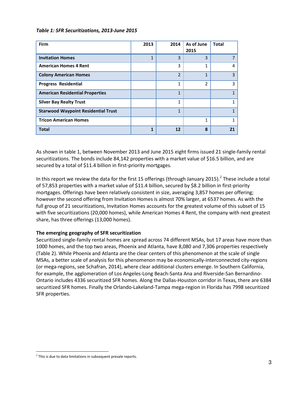#### *Table 1: SFR Securitizations, 2013-June 2015*

| Firm                                       | 2013 | 2014           | As of June<br>2015 | <b>Total</b> |
|--------------------------------------------|------|----------------|--------------------|--------------|
| <b>Invitation Homes</b>                    | 1    | 3              | 3                  |              |
| <b>American Homes 4 Rent</b>               |      | 3              | 1                  | 4            |
| <b>Colony American Homes</b>               |      | $\overline{2}$ | 1                  | 3            |
| <b>Progress Residential</b>                |      | 1              | 2                  | 3            |
| <b>American Residential Properties</b>     |      | $\mathbf{1}$   |                    | 1            |
| <b>Silver Bay Realty Trust</b>             |      | 1              |                    | 1            |
| <b>Starwood Waypoint Residential Trust</b> |      | 1              |                    | 1            |
| <b>Tricon American Homes</b>               |      |                | 1                  | 1            |
| <b>Total</b>                               | 1    | 12             | 8                  | 21           |

As shown in table 1, between November 2013 and June 2015 eight firms issued 21 single-family rental securitizations. The bonds include 84,142 properties with a market value of \$16.5 billion, and are secured by a total of \$11.4 billion in first-priority mortgages.

In this report we review the data for the first 15 offerings (through January [2](#page-3-0)015).<sup>2</sup> These include a total of 57,853 properties with a market value of \$11.4 billion, secured by \$8.2 billion in first-priority mortgages. Offerings have been relatively consistent in size, averaging 3,857 homes per offering; however the second offering from Invitation Homes is almost 70% larger, at 6537 homes. As with the full group of 21 securitizations, Invitation Homes accounts for the greatest volume of this subset of 15 with five securitizations (20,000 homes), while American Homes 4 Rent, the company with next greatest share, has three offerings (13,000 homes).

#### **The emerging geography of SFR securitization**

Securitized single-family rental homes are spread across 74 different MSAs, but 17 areas have more than 1000 homes, and the top two areas, Phoenix and Atlanta, have 8,080 and 7,306 properties respectively (Table 2). While Phoenix and Atlanta are the clear centers of this phenomenon at the scale of single MSAs, a better scale of analysis for this phenomenon may be economically-interconnected city-regions (or mega-regions, see Schafran, 2014), where clear additional clusters emerge. In Southern California, for example, the agglomeration of Los Angeles-Long Beach-Santa Ana and Riverside-San Bernardino-Ontario includes 4336 securitized SFR homes. Along the Dallas-Houston corridor in Texas, there are 6384 securitized SFR homes. Finally the Orlando-Lakeland-Tampa mega-region in Florida has 7998 securitized SFR properties.

<span id="page-3-0"></span> $2$  This is due to data limitations in subsequent presale reports.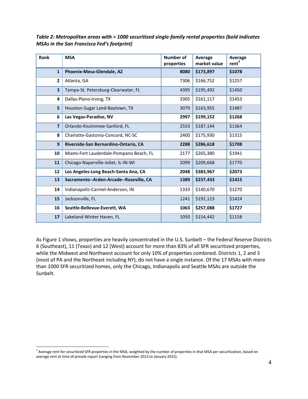*Table 2: Metropolitan areas with > 1000 securitized single-family rental properties (bold indicates MSAs in the San Francisco Fed's footprint)*

| Rank                    | <b>MSA</b>                              | <b>Number of</b><br>properties | Average<br>market value | Average<br>rent <sup>3</sup> |
|-------------------------|-----------------------------------------|--------------------------------|-------------------------|------------------------------|
| $\mathbf{1}$            | Phoenix-Mesa-Glendale, AZ               | 8080                           | \$173,897               | \$1078                       |
| $\overline{2}$          | Atlanta, GA                             | 7306                           | \$166,752               | \$1257                       |
| $\overline{\mathbf{3}}$ | Tampa-St. Petersburg-Clearwater, FL     | 4395                           | \$195,492               | \$1450                       |
| 4                       | Dallas-Plano-Irving, TX                 | 3305                           | \$161,117               | \$1453                       |
| 5                       | Houston-Sugar Land-Baytown, TX          | 3079                           | \$163,955               | \$1487                       |
| 6                       | Las Vegas-Paradise, NV                  | 2997                           | \$199,152               | \$1268                       |
| $\overline{\mathbf{z}}$ | Orlando-Kissimmee-Sanford, FL           | 2553                           | \$187,144               | \$1364                       |
| 8                       | Charlotte-Gastonia-Concord, NC-SC       | 2400                           | \$175,930               | \$1315                       |
| 9                       | Riverside-San Bernardino-Ontario, CA    | 2288                           | \$286,618               | \$1708                       |
| 10                      | Miami-Fort Lauderdale-Pompano Beach, FL | 2177                           | \$265,380               | \$1941                       |
| 11                      | Chicago-Naperville-Joliet, IL-IN-WI     | 2099                           | \$209,668               | \$1770                       |
| 12                      | Los Angeles-Long Beach-Santa Ana, CA    | 2048                           | \$383,967               | \$2073                       |
| 13                      | Sacramento--Arden-Arcade--Roseville, CA | 1389                           | \$237,433               | \$1415                       |
| 14                      | Indianapolis-Carmel-Anderson, IN        | 1333                           | \$140,670               | \$1270                       |
| 15                      | Jacksonville, FL                        | 1241                           | \$192,123               | \$1424                       |
| 16                      | Seattle-Bellevue-Everett, WA            | 1063                           | \$257,088               | \$1727                       |
| 17                      | Lakeland-Winter Haven, FL               | 1050                           | \$154,442               | \$1158                       |

As Figure 1 shows, properties are heavily concentrated in the U.S. Sunbelt – the Federal Reserve Districts 6 (Southeast), 11 (Texas) and 12 (West) account for more than 83% of all SFR securitized properties, while the Midwest and Northwest account for only 10% of properties combined. Districts 1, 2 and 3 (most of PA and the Northeast including NY), do not have a single instance. Of the 17 MSAs with more than 1000 SFR securitized homes, only the Chicago, Indianapolis and Seattle MSAs are outside the Sunbelt.

<span id="page-4-0"></span><sup>&</sup>lt;sup>3</sup> Average rent for securitized SFR properties in the MSA, weighted by the number of properties in that MSA per securitization, based on average rent at time of presale report (ranging from November 2013 to January 2015).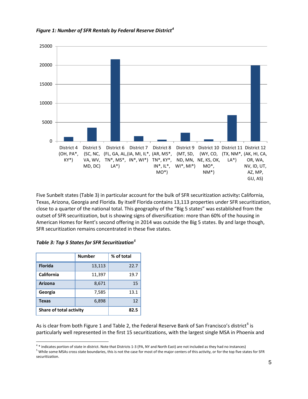

*Figure 1: Number of SFR Rentals by Federal Reserve District[4](#page-5-0)*

Five Sunbelt states (Table 3) in particular account for the bulk of SFR securitization activity**:** California, Texas, Arizona, Georgia and Florida. By itself Florida contains 13,113 properties under SFR securitization, close to a quarter of the national total. This geography of the "Big 5 states" was established from the outset of SFR securitization, but is showing signs of diversification: more than 60% of the housing in American Homes for Rent's second offering in 2014 was outside the Big 5 states. By and large though, SFR securitization remains concentrated in these five states.

|                                | <b>Number</b> | % of total |  |
|--------------------------------|---------------|------------|--|
| <b>Florida</b>                 | 13,113        | 22.7       |  |
| <b>California</b>              | 11,397        | 19.7       |  |
| <b>Arizona</b>                 | 8,671         | 15         |  |
| Georgia                        | 7,585         | 13.1       |  |
| <b>Texas</b>                   | 6,898         | 12         |  |
| <b>Share of total activity</b> |               | 82.5       |  |

| Table 3: Top 5 States for SFR Securitization <sup>5</sup> |
|-----------------------------------------------------------|
|-----------------------------------------------------------|

As is clear from both Figure 1 and Table 2, the Federal Reserve Bank of San Francisco's district<sup>[6](#page-5-1)</sup> is particularly well represented in the first 15 securitizations, with the largest single MSA in Phoenix and

<span id="page-5-1"></span>

<span id="page-5-0"></span> $4*$  indicates portion of state in district. Note that Districts 1-3 (PA, NY and North East) are not included as they had no instances)<br><sup>5</sup> While some MSAs cross state boundaries, this is not the case for most of the majo securitization.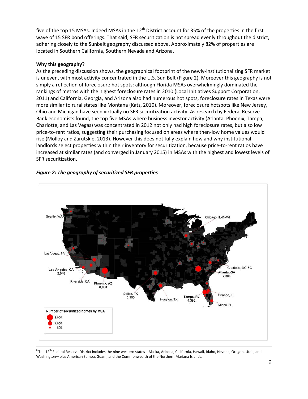five of the top 15 MSAs. Indeed MSAs in the  $12<sup>th</sup>$  District account for 35% of the properties in the first wave of 15 SFR bond offerings. That said, SFR securitization is not spread evenly throughout the district, adhering closely to the Sunbelt geography discussed above. Approximately 82% of properties are located in Southern California, Southern Nevada and Arizona.

#### **Why this geography?**

As the preceding discussion shows, the geographical footprint of the newly-institutionalizing SFR market is uneven, with most activity concentrated in the U.S. Sun Belt (Figure 2). Moreover this geography is not simply a reflection of foreclosure hot spots: although Florida MSAs overwhelmingly dominated the rankings of metros with the highest foreclosure rates in 2010 (Local Initiatives Support Corporation, 2011) and California, Georgia, and Arizona also had numerous hot spots, foreclosure rates in Texas were more similar to rural states like Montana (Katz, 2010). Moreover, foreclosure hotspots like New Jersey, Ohio and Michigan have seen virtually no SFR securitization activity. As research by Federal Reserve Bank economists found, the top five MSAs where business investor activity (Atlanta, Phoenix, Tampa, Charlotte, and Las Vegas) was concentrated in 2012 not only had high foreclosure rates, but also low price-to-rent ratios, suggesting their purchasing focused on areas where then-low home values would rise (Molloy and Zarutskie, 2013). However this does not fully explain how and why institutional landlords select properties within their inventory for securitization, because price-to-rent ratios have increased at similar rates (and converged in January 2015) in MSAs with the highest and lowest levels of SFR securitization.



#### *Figure 2: The geography of securitized SFR properties*

 $6$ The 12<sup>th</sup> Federal Reserve District includes the nine western states—Alaska, Arizona, California, Hawaii, Idaho, Nevada, Oregon, Utah, and Washington—plus American Samoa, Guam, and the Commonwealth of the Northern Mariana Islands.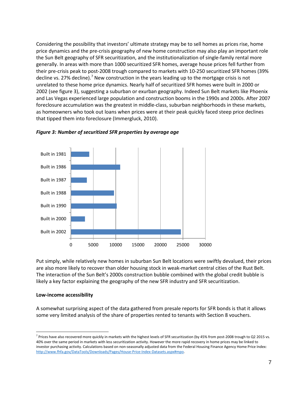Considering the possibility that investors' ultimate strategy may be to sell homes as prices rise, home price dynamics and the pre-crisis geography of new home construction may also play an important role the Sun Belt geography of SFR securitization, and the institutionalization of single-family rental more generally. In areas with more than 1000 securitized SFR homes, average house prices fell further from their pre-crisis peak to post-2008 trough compared to markets with 10-250 securitized SFR homes (39% decline vs. 2[7](#page-7-0)% decline).<sup>7</sup> New construction in the years leading up to the mortgage crisis is not unrelated to these home price dynamics. Nearly half of securitized SFR homes were built in 2000 or 2002 (see figure 3), suggesting a suburban or exurban geography. Indeed Sun Belt markets like Phoenix and Las Vegas experienced large population and construction booms in the 1990s and 2000s. After 2007 foreclosure accumulation was the greatest in middle-class, suburban neighborhoods in these markets, as homeowners who took out loans when prices were at their peak quickly faced steep price declines that tipped them into foreclosure (Immergluck, 2010).



*Figure 3: Number of securitized SFR properties by average age*

Put simply, while relatively new homes in suburban Sun Belt locations were swiftly devalued, their prices are also more likely to recover than older housing stock in weak-market central cities of the Rust Belt. The interaction of the Sun Belt's 2000s construction bubble combined with the global credit bubble is likely a key factor explaining the geography of the new SFR industry and SFR securitization.

#### **Low-income accessibility**

A somewhat surprising aspect of the data gathered from presale reports for SFR bonds is that it allows some very limited analysis of the share of properties rented to tenants with Section 8 vouchers.

<span id="page-7-0"></span> $<sup>7</sup>$  Prices have also recovered more quickly in markets with the highest levels of SFR securitization (by 45% from post-2008 trough to Q2 2015 vs.</sup> 40% over the same period in markets with less securitization activity. However the more rapid recovery in home prices may be linked to investor purchasing activity. Calculations based on non-seasonally adjusted data from the Federal Housing Finance Agency Home Price Index: [http://www.fhfa.gov/DataTools/Downloads/Pages/House-Price-Index-Datasets.aspx#mpo.](http://www.fhfa.gov/DataTools/Downloads/Pages/House-Price-Index-Datasets.aspx#mpo)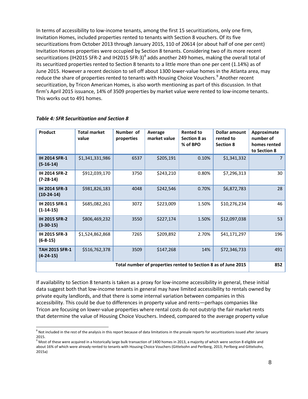In terms of accessibility to low-income tenants, among the first 15 securitizations, only one firm, Invitation Homes, included properties rented to tenants with Section 8 vouchers. Of its five securitizations from October 2013 through January 2015, 110 of 20614 (or about half of one per cent) Invitation Homes properties were occupied by Section 8 tenants. Considering two of its more recent securitizations (IH2015 SFR-2 and IH2015 SFR-3)<sup>[8](#page-8-0)</sup> adds another 249 homes, making the overall total of its securitized properties rented to Section 8 tenants to a little more than one per cent (1.14%) as of June 2015. However a recent decision to sell off about 1300 lower-value homes in the Atlanta area, may reduce the share of properties rented to tenants with Housing Choice Vouchers.<sup>[9](#page-8-1)</sup> Another recent securitization, by Tricon American Homes, is also worth mentioning as part of this discussion. In that firm's April 2015 issuance, 14% of 3509 properties by market value were rented to low-income tenants. This works out to 491 homes.

| Product                                                        | <b>Total market</b><br>value | Number of<br>properties | Average<br>market value | <b>Rented to</b><br>Section 8 as<br>% of BPO | <b>Dollar amount</b><br>rented to<br><b>Section 8</b> | Approximate<br>number of<br>homes rented<br>to Section 8 |
|----------------------------------------------------------------|------------------------------|-------------------------|-------------------------|----------------------------------------------|-------------------------------------------------------|----------------------------------------------------------|
| <b>IH 2014 SFR-1</b><br>$(5-16-14)$                            | \$1,341,331,986              | 6537                    | \$205,191               | 0.10%                                        | \$1,341,332                                           |                                                          |
| <b>IH 2014 SFR-2</b><br>$(7-28-14)$                            | \$912,039,170                | 3750                    | \$243,210               | 0.80%                                        | \$7,296,313                                           | 30                                                       |
| <b>IH 2014 SFR-3</b><br>$(10-24-14)$                           | \$981,826,183                | 4048                    | \$242,546               | 0.70%                                        | \$6,872,783                                           | 28                                                       |
| IH 2015 SFR-1<br>$(1-14-15)$                                   | \$685,082,261                | 3072                    | \$223,009               | 1.50%                                        | \$10,276,234                                          | 46                                                       |
| <b>IH 2015 SFR-2</b><br>$(3 - 30 - 15)$                        | \$806,469,232                | 3550                    | \$227,174               | 1.50%                                        | \$12,097,038                                          | 53                                                       |
| IH 2015 SFR-3<br>$(6-8-15)$                                    | \$1,524,862,868              | 7265                    | \$209,892               | 2.70%                                        | \$41,171,297                                          | 196                                                      |
| <b>TAH 2015 SFR-1</b><br>$(4-24-15)$                           | \$516,762,378                | 3509                    | \$147,268               | 14%                                          | \$72,346,733                                          | 491                                                      |
| Total number of properties rented to Section 8 as of June 2015 |                              |                         |                         |                                              | 852                                                   |                                                          |

#### *Table 4: SFR Securitization and Section 8*

If availability to Section 8 tenants is taken as a proxy for low-income accessibility in general, these initial data suggest both that low-income tenants in general may have limited accessibility to rentals owned by private equity landlords, and that there is some internal variation between companies in this accessibility. This could be due to differences in property value and rents—perhaps companies like Tricon are focusing on lower-value properties where rental costs do not outstrip the fair market rents that determine the value of Housing Choice Vouchers. Indeed, compared to the average property value

<span id="page-8-0"></span> $8$  Not included in the rest of the analysis in this report because of data limitations in the presale reports for securitizations issued after January 2015.

<span id="page-8-1"></span> $9$  Most of these were acquired in a historically large bulk transaction of 1400 homes in 2013, a majority of which were section 8 eligible and about 16% of which were already rented to tenants with Housing Choice Vouchers (Gittelsohn and Perlberg, 2013; Perlberg and Gittelsohn, 2015a)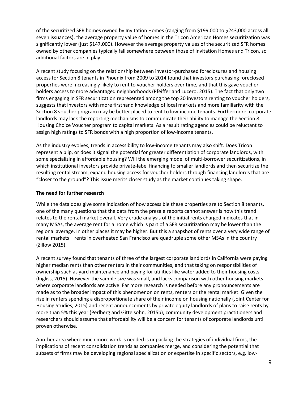of the securitized SFR homes owned by Invitation Homes (ranging from \$199,000 to \$243,000 across all seven issuances), the average property value of homes in the Tricon American Homes securitization was significantly lower (just \$147,000). However the average property values of the securitized SFR homes owned by other companies typically fall somewhere between those of Invitation Homes and Tricon, so additional factors are in play.

A recent study focusing on the relationship between investor-purchased foreclosures and housing access for Section 8 tenants in Phoenix from 2009 to 2014 found that investors purchasing foreclosed properties were increasingly likely to rent to voucher holders over time, and that this gave voucher holders access to more advantaged neighborhoods (Pfeiffer and Lucero, 2015). The fact that only two firms engaging in SFR securitization represented among the top 20 investors renting to voucher holders, suggests that investors with more firsthand knowledge of local markets and more familiarity with the Section 8 voucher program may be better placed to rent to low-income tenants. Furthermore, corporate landlords may lack the reporting mechanisms to communicate their ability to manage the Section 8 Housing Choice Voucher program to capital markets. As a result rating agencies could be reluctant to assign high ratings to SFR bonds with a high proportion of low-income tenants.

As the industry evolves, trends in accessibility to low-income tenants may also shift. Does Tricon represent a blip, or does it signal the potential for greater differentiation of corporate landlords, with some specializing in affordable housing? Will the emerging model of multi-borrower securitizations, in which institutional investors provide private-label financing to smaller landlords and then securitize the resulting rental stream, expand housing access for voucher holders through financing landlords that are "closer to the ground"? This issue merits closer study as the market continues taking shape.

#### **The need for further research**

While the data does give some indication of how accessible these properties are to Section 8 tenants, one of the many questions that the data from the presale reports cannot answer is how this trend relates to the rental market overall. Very crude analysis of the initial rents charged indicates that in many MSAs, the average rent for a home which is part of a SFR securitization may be lower than the regional average. In other places it may be higher. But this a snapshot of rents over a very wide range of rental markets – rents in overheated San Francisco are quadruple some other MSAs in the country (Zillow 2015).

A recent survey found that tenants of three of the largest corporate landlords in California were paying higher median rents than other renters in their communities, and that taking on responsibilities of ownership such as yard maintenance and paying for utilities like water added to their housing costs (Ingliss, 2015). However the sample size was small, and lacks comparison with other housing markets where corporate landlords are active. Far more research is needed before any pronouncements are made as to the broader impact of this phenomenon on rents, renters or the rental market. Given the rise in renters spending a disproportionate share of their income on housing nationally (Joint Center for Housing Studies, 2015) and recent announcements by private equity landlords of plans to raise rents by more than 5% this year (Perlberg and Gittelsohn, 2015b), community development practitioners and researchers should assume that affordability will be a concern for tenants of corporate landlords until proven otherwise.

Another area where much more work is needed is unpacking the strategies of individual firms, the implications of recent consolidation trends as companies merge, and considering the potential that subsets of firms may be developing regional specialization or expertise in specific sectors, e.g. low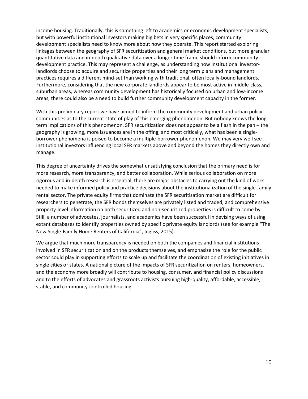income housing. Traditionally, this is something left to academics or economic development specialists, but with powerful institutional investors making big bets in very specific places, community development specialists need to know more about how they operate. This report started exploring linkages between the geography of SFR securitization and general market conditions, but more granular quantitative data and in-depth qualitative data over a longer time frame should inform community development practice. This may represent a challenge, as understanding how institutional investorlandlords choose to acquire and securitize properties and their long term plans and management practices requires a different mind-set than working with traditional, often locally-bound landlords. Furthermore, considering that the new corporate landlords appear to be most active in middle-class, suburban areas, whereas community development has historically focused on urban and low-income areas, there could also be a need to build further community development capacity in the former.

With this preliminary report we have aimed to inform the community development and urban policy communities as to the current state of play of this emerging phenomenon. But nobody knows the longterm implications of this phenomenon. SFR securitization does not appear to be a flash in the pan – the geography is growing, more issuances are in the offing, and most critically, what has been a singleborrower phenomena is poised to become a multiple-borrower phenomenon. We may very well see institutional investors influencing local SFR markets above and beyond the homes they directly own and manage.

This degree of uncertainty drives the somewhat unsatisfying conclusion that the primary need is for more research, more transparency, and better collaboration. While serious collaboration on more rigorous and in-depth research is essential, there are major obstacles to carrying out the kind of work needed to make informed policy and practice decisions about the institutionalization of the single-family rental sector. The private equity firms that dominate the SFR securitization market are difficult for researchers to penetrate, the SFR bonds themselves are privately listed and traded, and comprehensive property-level information on both securitized and non-securitized properties is difficult to come by. Still, a number of advocates, journalists, and academics have been successful in devising ways of using extant databases to identify properties owned by specific private equity landlords (see for example "The New Single-Family Home Renters of California", Ingliss, 2015).

We argue that much more transparency is needed on both the companies and financial institutions involved in SFR securitization and on the products themselves, and emphasize the role for the public sector could play in supporting efforts to scale up and facilitate the coordination of existing initiatives in single cities or states. A national picture of the impacts of SFR securitization on renters, homeowners, and the economy more broadly will contribute to housing, consumer, and financial policy discussions and to the efforts of advocates and grassroots activists pursuing high-quality, affordable, accessible, stable, and community-controlled housing.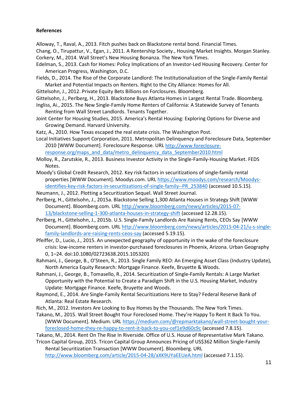#### **References**

Alloway, T., Raval, A., 2013. Fitch pushes back on Blackstone rental bond. Financial Times.

Chang, O., Tirupattur, V., Egan, J., 2011. A Rentership Society., Housing Market Insights. Morgan Stanley. Corkery, M., 2014. Wall Street's New Housing Bonanza. The New York Times.

- Edelman, S., 2013. Cash for Homes: Policy Implications of an Investor-Led Housing Recovery. Center for American Progress, Washington, D.C.
- Fields, D., 2014. The Rise of the Corporate Landlord: The Institutionalization of the Single-Family Rental Market and Potential Impacts on Renters. Right to the City Alliance: Homes for All.
- Gittelsohn, J., 2012. Private Equity Bets Billions on Forclosures. Bloomberg.
- Gittelsohn, J., Perlberg, H., 2013. Blackstone Buys Atlanta Homes in Largest Rental Trade. Bloomberg.
- Ingliss, Ai., 2015. The New Single-Family Home Renters of California: A Statewide Survey of Tenants Renting from Wall Street Landlords. Tenants Together.
- Joint Center for Housing Studies, 2015. America's Rental Housing: Exploring Options for Diverse and Growing Demand. Harvard University.
- Katz, A., 2010. How Texas escaped the real estate crisis. The Washington Post.
- Local Initiatives Support Corporation, 2011. Metropolitan Delinquency and Foreclosure Data, September 2010 [WWW Document]. Foreclosure Response. UR[L http://www.foreclosure](http://www.foreclosure-response.org/maps_and_data/metro_delinquency_data_September2010.html)[response.org/maps\\_and\\_data/metro\\_delinquency\\_data\\_September2010.html](http://www.foreclosure-response.org/maps_and_data/metro_delinquency_data_September2010.html)
- Molloy, R., Zarutskie, R., 2013. Business Investor Activity in the Single-Family-Housing Market. FEDS Notes.
- Moody's Global Credit Research, 2012. Key risk factors in securitizations of single-family rental properties [WWW Document]. Moodys.com. URL [https://www.moodys.com/research/Moodys](https://www.moodys.com/research/Moodys-identifies-key-risk-factors-in-securitizations-of-single-family--PR_253840)[identifies-key-risk-factors-in-securitizations-of-single-family--PR\\_253840](https://www.moodys.com/research/Moodys-identifies-key-risk-factors-in-securitizations-of-single-family--PR_253840) (accessed 10.5.15).
- Neumann, J., 2012. Plotting a Securitization Sequel. Wall Street Journal.
- Perlberg, H., Gittelsohn, J., 2015a. Blackstone Selling 1,300 Atlanta Houses in Strategy Shift [WWW Document]. Bloomberg.com. URL [http://www.bloomberg.com/news/articles/2015-07-](http://www.bloomberg.com/news/articles/2015-07-13/blackstone-selling-1-300-atlanta-houses-in-strategy-shift) [13/blackstone-selling-1-300-atlanta-houses-in-strategy-shift](http://www.bloomberg.com/news/articles/2015-07-13/blackstone-selling-1-300-atlanta-houses-in-strategy-shift) (accessed 12.28.15).
- Perlberg, H., Gittelsohn, J., 2015b. U.S. Single-Family Landlords Are Raising Rents, CEOs Say [WWW Document]. Bloomberg.com. URL [http://www.bloomberg.com/news/articles/2015-04-21/u-s-single](http://www.bloomberg.com/news/articles/2015-04-21/u-s-single-family-landlords-are-raising-rents-ceos-say)[family-landlords-are-raising-rents-ceos-say](http://www.bloomberg.com/news/articles/2015-04-21/u-s-single-family-landlords-are-raising-rents-ceos-say) (accessed 5.19.15).
- Pfeiffer, D., Lucio, J., 2015. An unexpected geography of opportunity in the wake of the foreclosure crisis: low-income renters in investor-purchased foreclosures in Phoenix, Arizona. Urban Geography 0, 1–24. doi:10.1080/02723638.2015.1053201
- Rahmani, J., George, B., O'Steen, R., 2013. Single Family REO: An Emerging Asset Class (Industry Update), North America Equity Research: Mortgage Finance. Keefe, Bruyette & Woods.
- Rahmani, J., George, B., Tomasello, R., 2014. Securitization of Single-Family Rentals: A Large Market Opportunity with the Potential to Create a Paradigm Shift in the U.S. Housing Market, Industry Update: Mortgage Finance. Keefe, Bruyette and Woods.
- Raymond, E., 2014. Are Single-Family Rental Securitizations Here to Stay? Federal Reserve Bank of Atlanta: Real Estate Research.
- Rich, M., 2012. Investors Are Looking to Buy Homes by the Thousands. The New York Times.
- Takano, M., 2015. Wall Street Bought Your Foreclosed Home. They're Happy To Rent It Back To You. [WWW Document]. Medium. UR[L https://medium.com/@repmarktakano/wall-street-bought-your](https://medium.com/@repmarktakano/wall-street-bought-your-foreclosed-home-they-re-happy-to-rent-it-back-to-you-cef1e9d60c9c)[foreclosed-home-they-re-happy-to-rent-it-back-to-you-cef1e9d60c9c](https://medium.com/@repmarktakano/wall-street-bought-your-foreclosed-home-they-re-happy-to-rent-it-back-to-you-cef1e9d60c9c) (accessed 7.8.15).

Takano, M., 2014. Rent On The Rise In Riverside. Office of U.S. House of Representative Mark Takano.

Tricon Capital Group, 2015. Tricon Capital Group Announces Pricing of US\$362 Million Single-Family Rental Securitization Transaction [WWW Document]. Bloomberg. URL

<http://www.bloomberg.com/article/2015-04-28/aXK9UYaEEUeA.html> (accessed 7.1.15).